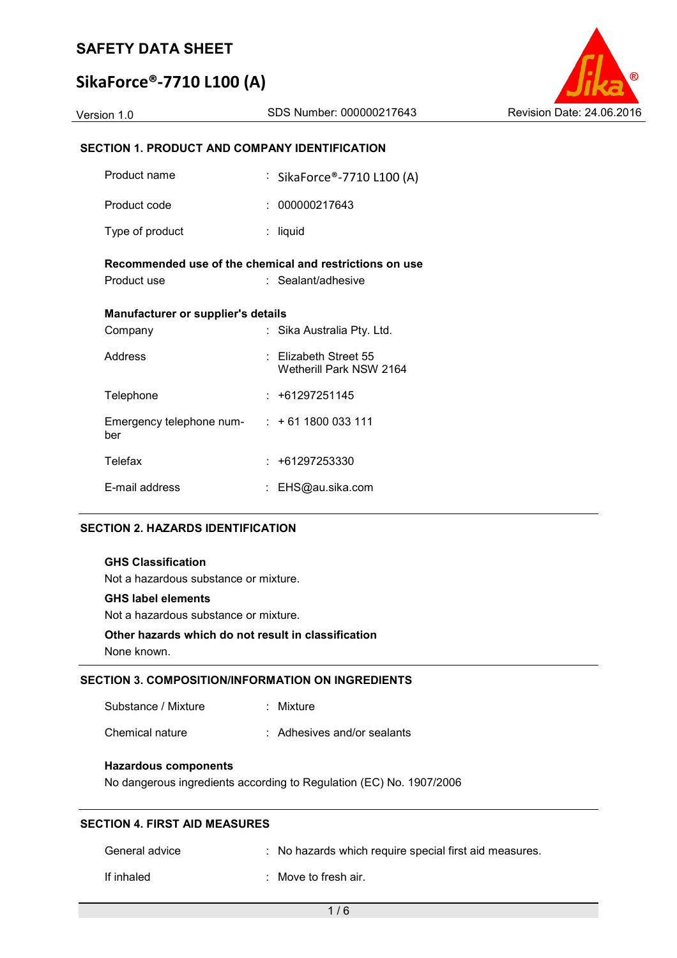# **SikaForce®-7710 L100 (A)**

#### **SECTION 1. PRODUCT AND COMPANY IDENTIFICATION**

| Product name                                                           |  | $\frac{1}{2}$ SikaForce®-7710 L100 (A)           |  |  |  |
|------------------------------------------------------------------------|--|--------------------------------------------------|--|--|--|
| Product code                                                           |  | : 000000217643                                   |  |  |  |
| Type of product                                                        |  | : liquid                                         |  |  |  |
| Recommended use of the chemical and restrictions on use<br>Product use |  | : Sealant/adhesive                               |  |  |  |
| Manufacturer or supplier's details                                     |  |                                                  |  |  |  |
| Company                                                                |  | : Sika Australia Pty. Ltd.                       |  |  |  |
| Address                                                                |  | ∴ Flizabeth Street 55<br>Wetherill Park NSW 2164 |  |  |  |
| Telephone                                                              |  | $: +61297251145$                                 |  |  |  |
| Emergency telephone num-<br>ber                                        |  | $: +611800033111$                                |  |  |  |
| Telefax                                                                |  | $: +61297253330$                                 |  |  |  |
| E-mail address                                                         |  | : EHS@au.sika.com                                |  |  |  |

#### **SECTION 2. HAZARDS IDENTIFICATION**

#### **GHS Classification**

Not a hazardous substance or mixture.

#### **GHS label elements**

Not a hazardous substance or mixture.

#### **Other hazards which do not result in classification**

None known.

#### **SECTION 3. COMPOSITION/INFORMATION ON INGREDIENTS**

| Substance / Mixture |  | Mixture |
|---------------------|--|---------|
|---------------------|--|---------|

Chemical nature : Adhesives and/or sealants

#### **Hazardous components**

No dangerous ingredients according to Regulation (EC) No. 1907/2006

#### **SECTION 4. FIRST AID MEASURES**

| General advice | : No hazards which require special first aid measures. |
|----------------|--------------------------------------------------------|
| If inhaled     | $\therefore$ Move to fresh air.                        |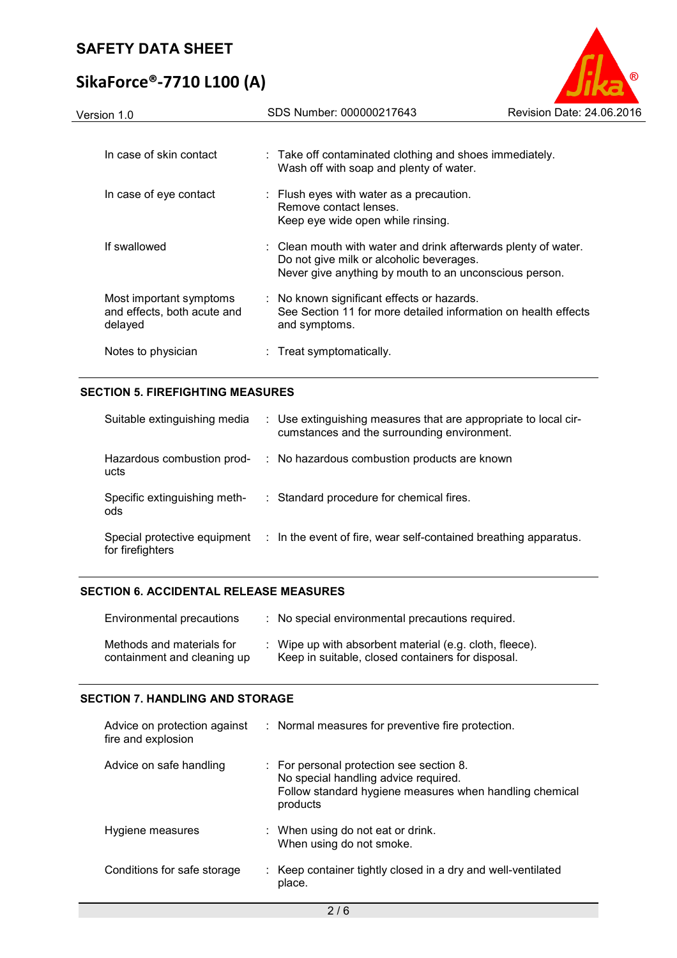# **SikaForce®-7710 L100 (A)**



| Version 1.0                                                       | SDS Number: 000000217643<br>Revision Date: 24.06.2016                                                                                                                |  |  |  |  |  |
|-------------------------------------------------------------------|----------------------------------------------------------------------------------------------------------------------------------------------------------------------|--|--|--|--|--|
| In case of skin contact                                           | : Take off contaminated clothing and shoes immediately.<br>Wash off with soap and plenty of water.                                                                   |  |  |  |  |  |
| In case of eye contact                                            | : Flush eyes with water as a precaution.<br>Remove contact lenses.<br>Keep eye wide open while rinsing.                                                              |  |  |  |  |  |
| If swallowed                                                      | : Clean mouth with water and drink afterwards plenty of water.<br>Do not give milk or alcoholic beverages.<br>Never give anything by mouth to an unconscious person. |  |  |  |  |  |
| Most important symptoms<br>and effects, both acute and<br>delayed | : No known significant effects or hazards.<br>See Section 11 for more detailed information on health effects<br>and symptoms.                                        |  |  |  |  |  |
| Notes to physician                                                | : Treat symptomatically.                                                                                                                                             |  |  |  |  |  |

#### **SECTION 5. FIREFIGHTING MEASURES**

| Suitable extinguishing media                     | : Use extinguishing measures that are appropriate to local cir-<br>cumstances and the surrounding environment. |
|--------------------------------------------------|----------------------------------------------------------------------------------------------------------------|
| Hazardous combustion prod-<br>ucts               | : No hazardous combustion products are known                                                                   |
| Specific extinguishing meth-<br>ods              | : Standard procedure for chemical fires.                                                                       |
| Special protective equipment<br>for firefighters | : In the event of fire, wear self-contained breathing apparatus.                                               |

#### **SECTION 6. ACCIDENTAL RELEASE MEASURES**

| Environmental precautions                                | : No special environmental precautions required.                                                             |
|----------------------------------------------------------|--------------------------------------------------------------------------------------------------------------|
| Methods and materials for<br>containment and cleaning up | : Wipe up with absorbent material (e.g. cloth, fleece).<br>Keep in suitable, closed containers for disposal. |

#### **SECTION 7. HANDLING AND STORAGE**

| Advice on protection against<br>fire and explosion | : Normal measures for preventive fire protection.                                                                                                       |
|----------------------------------------------------|---------------------------------------------------------------------------------------------------------------------------------------------------------|
| Advice on safe handling                            | : For personal protection see section 8.<br>No special handling advice required.<br>Follow standard hygiene measures when handling chemical<br>products |
| Hygiene measures                                   | : When using do not eat or drink.<br>When using do not smoke.                                                                                           |
| Conditions for safe storage                        | : Keep container tightly closed in a dry and well-ventilated<br>place.                                                                                  |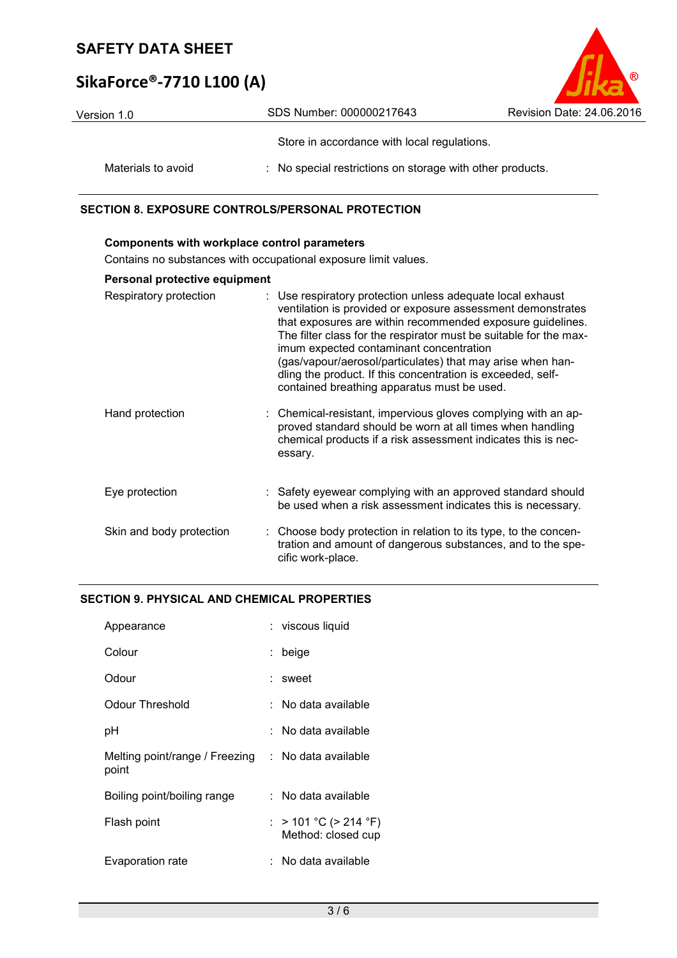## **SikaForce®-7710 L100 (A)**

| Version 1.0        | SDS Number: 000000217643                                  | Revision Date: 24.06.2016 |
|--------------------|-----------------------------------------------------------|---------------------------|
|                    | Store in accordance with local regulations.               |                           |
| Materials to avoid | : No special restrictions on storage with other products. |                           |

#### **SECTION 8. EXPOSURE CONTROLS/PERSONAL PROTECTION**

#### **Components with workplace control parameters**

Contains no substances with occupational exposure limit values.

#### **Personal protective equipment**

| Respiratory protection   | : Use respiratory protection unless adequate local exhaust<br>ventilation is provided or exposure assessment demonstrates<br>that exposures are within recommended exposure guidelines.<br>The filter class for the respirator must be suitable for the max-<br>imum expected contaminant concentration<br>(gas/vapour/aerosol/particulates) that may arise when han-<br>dling the product. If this concentration is exceeded, self-<br>contained breathing apparatus must be used. |
|--------------------------|-------------------------------------------------------------------------------------------------------------------------------------------------------------------------------------------------------------------------------------------------------------------------------------------------------------------------------------------------------------------------------------------------------------------------------------------------------------------------------------|
| Hand protection          | : Chemical-resistant, impervious gloves complying with an ap-<br>proved standard should be worn at all times when handling<br>chemical products if a risk assessment indicates this is nec-<br>essary.                                                                                                                                                                                                                                                                              |
| Eye protection           | : Safety eyewear complying with an approved standard should<br>be used when a risk assessment indicates this is necessary.                                                                                                                                                                                                                                                                                                                                                          |
| Skin and body protection | : Choose body protection in relation to its type, to the concen-<br>tration and amount of dangerous substances, and to the spe-<br>cific work-place.                                                                                                                                                                                                                                                                                                                                |

#### **SECTION 9. PHYSICAL AND CHEMICAL PROPERTIES**

| Appearance                              | : viscous liquid                            |
|-----------------------------------------|---------------------------------------------|
| Colour                                  | beige                                       |
| Odour                                   | : sweet                                     |
| Odour Threshold                         | : No data available                         |
| рH                                      | : No data available                         |
| Melting point/range / Freezing<br>point | : No data available                         |
| Boiling point/boiling range             | :   No data available                       |
| Flash point                             | : > 101 °C (> 214 °F)<br>Method: closed cup |
| Evaporation rate                        | :   No data available                       |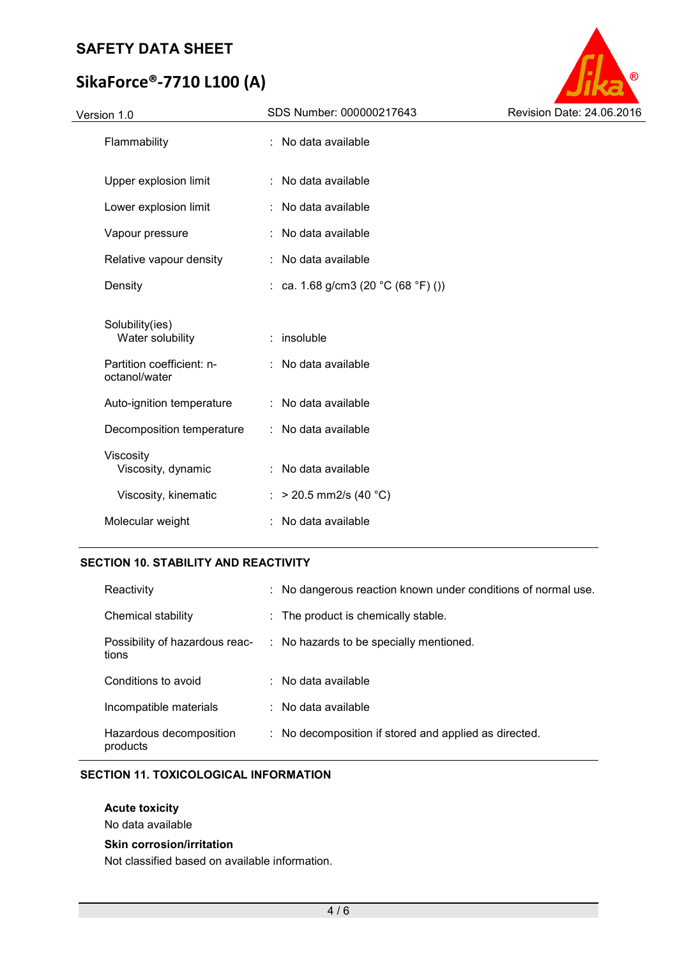# **SikaForce®-7710 L100 (A)**



| Flammability                               | : No data available                 |
|--------------------------------------------|-------------------------------------|
| Upper explosion limit                      | : No data available                 |
| Lower explosion limit                      | : No data available                 |
| Vapour pressure                            | : No data available                 |
| Relative vapour density                    | : No data available                 |
| Density                                    | : ca. 1.68 g/cm3 (20 °C (68 °F) ()) |
| Solubility(ies)<br>Water solubility        | $:$ insoluble                       |
| Partition coefficient: n-<br>octanol/water | : No data available                 |
| Auto-ignition temperature                  | : No data available                 |
| Decomposition temperature                  | : No data available                 |
| Viscosity<br>Viscosity, dynamic            | : No data available                 |
| Viscosity, kinematic                       | : > 20.5 mm2/s (40 °C)              |
| Molecular weight                           | No data available                   |
|                                            |                                     |

#### **SECTION 10. STABILITY AND REACTIVITY**

| Reactivity                              | : No dangerous reaction known under conditions of normal use. |
|-----------------------------------------|---------------------------------------------------------------|
| Chemical stability                      | : The product is chemically stable.                           |
| Possibility of hazardous reac-<br>tions | : No hazards to be specially mentioned.                       |
| Conditions to avoid                     | $\therefore$ No data available                                |
| Incompatible materials                  | $\therefore$ No data available                                |
| Hazardous decomposition<br>products     | : No decomposition if stored and applied as directed.         |

#### **SECTION 11. TOXICOLOGICAL INFORMATION**

#### **Acute toxicity**

No data available

#### **Skin corrosion/irritation**

Not classified based on available information.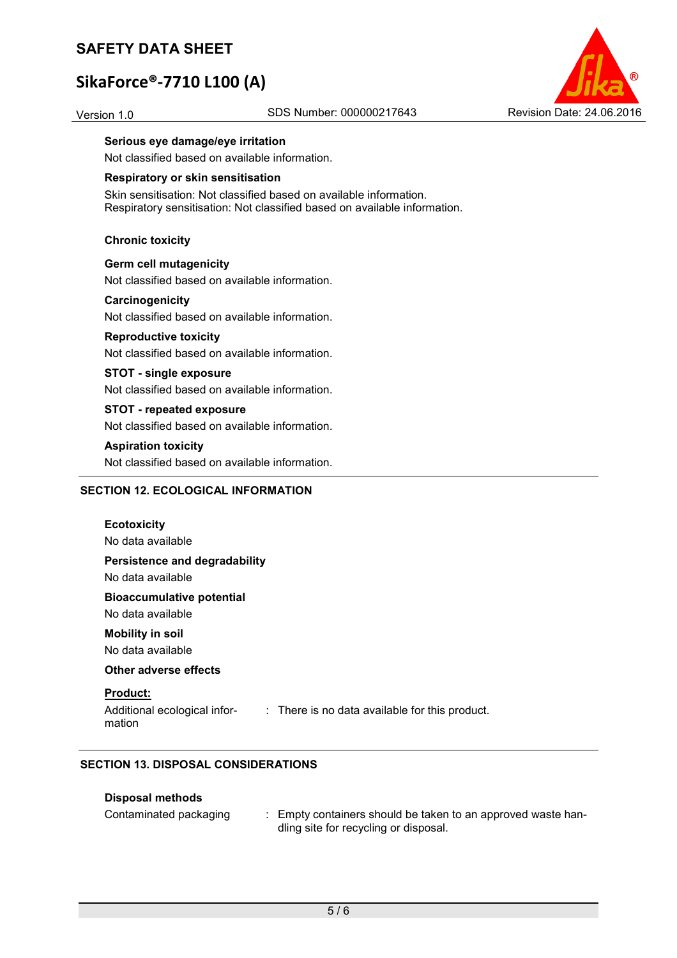## **SikaForce®-7710 L100 (A)**

#### Version 1.0 SDS Number: 000000217643 Revision Date: 24.06.2016



#### **Serious eye damage/eye irritation**

Not classified based on available information.

#### **Respiratory or skin sensitisation**

Skin sensitisation: Not classified based on available information. Respiratory sensitisation: Not classified based on available information.

#### **Chronic toxicity**

**Germ cell mutagenicity**  Not classified based on available information.

#### **Carcinogenicity**

Not classified based on available information.

#### **Reproductive toxicity**

Not classified based on available information.

#### **STOT - single exposure**

Not classified based on available information.

## **STOT - repeated exposure**

Not classified based on available information.

#### **Aspiration toxicity**

Not classified based on available information.

#### **SECTION 12. ECOLOGICAL INFORMATION**

**Ecotoxicity**  No data available **Persistence and degradability**  No data available **Bioaccumulative potential**  No data available **Mobility in soil**  No data available **Other adverse effects Product:** 

mation

Additional ecological infor-: There is no data available for this product.

#### **SECTION 13. DISPOSAL CONSIDERATIONS**

#### **Disposal methods**

| Contaminated packaging | Empty containers should be taken to an approved waste han- |
|------------------------|------------------------------------------------------------|
|                        | dling site for recycling or disposal.                      |